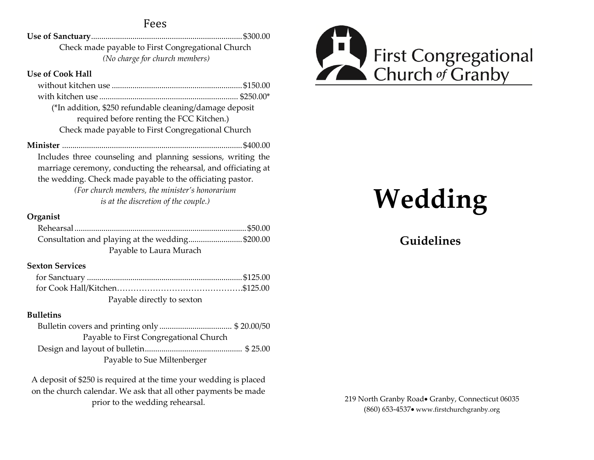## Fees

**Use of Sanctuary**.........................................................................\$300.00 Check made payable to First Congregational Church *(No charge for church members)*

#### **Use of Cook Hall**

| (*In addition, \$250 refundable cleaning/damage deposit |  |
|---------------------------------------------------------|--|
| required before renting the FCC Kitchen.)               |  |
| Check made payable to First Congregational Church       |  |
|                                                         |  |

**Minister** .......................................................................................\$400.00 Includes three counseling and planning sessions, writing the marriage ceremony, conducting the rehearsal, and officiating at the wedding. Check made payable to the officiating pastor.

> *(For church members, the minister's honorarium is at the discretion of the couple.)*

### **Organist**

| Consultation and playing at the wedding\$200.00 |  |
|-------------------------------------------------|--|
| Payable to Laura Murach                         |  |

## **Sexton Services**

| Payable directly to sexton |  |
|----------------------------|--|

#### **Bulletins**

Bulletin covers and printing only................................... \$ 20.00/50 Payable to First Congregational Church Design and layout of bulletin............................................... \$ 25.00 Payable to Sue Miltenberger

A deposit of \$250 is required at the time your wedding is placed on the church calendar. We ask that all other payments be made prior to the wedding rehearsal.



# **Wedding**

# **Guidelines**

219 North Granby Road Granby, Connecticut 06035 (860) 653-4537 www.firstchurchgranby.org